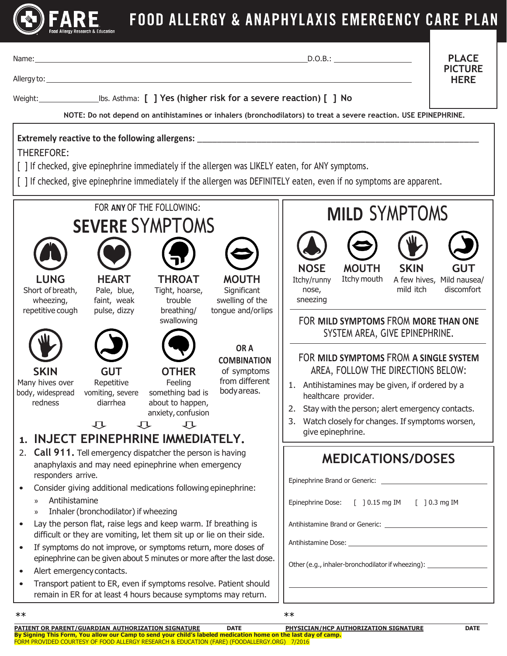

## FOOD ALLERGY & ANAPHYLAXIS EMERGENCY CARE PLAN

|                                                                                                                                                                                                                                                                                                                                                                                                                                                                                                                                                                                                                                                                                                                                                                              |                                                                                                                                                                                                                            |                                                                                                                                                                        |                                                                                                                                                   | D.O.B.:                                                                                                                                                                                                                                                                                                                                                                                                                                                                                                    | <b>PLACE</b><br><b>PICTURE</b><br><b>HERE</b>         |
|------------------------------------------------------------------------------------------------------------------------------------------------------------------------------------------------------------------------------------------------------------------------------------------------------------------------------------------------------------------------------------------------------------------------------------------------------------------------------------------------------------------------------------------------------------------------------------------------------------------------------------------------------------------------------------------------------------------------------------------------------------------------------|----------------------------------------------------------------------------------------------------------------------------------------------------------------------------------------------------------------------------|------------------------------------------------------------------------------------------------------------------------------------------------------------------------|---------------------------------------------------------------------------------------------------------------------------------------------------|------------------------------------------------------------------------------------------------------------------------------------------------------------------------------------------------------------------------------------------------------------------------------------------------------------------------------------------------------------------------------------------------------------------------------------------------------------------------------------------------------------|-------------------------------------------------------|
|                                                                                                                                                                                                                                                                                                                                                                                                                                                                                                                                                                                                                                                                                                                                                                              | Weight: ______________________________bs. Asthma: [ ] Yes (higher risk for a severe reaction) [ ] No<br>NOTE: Do not depend on antihistamines or inhalers (bronchodilators) to treat a severe reaction. USE EPINEPHRINE.   |                                                                                                                                                                        |                                                                                                                                                   |                                                                                                                                                                                                                                                                                                                                                                                                                                                                                                            |                                                       |
| <b>THEREFORE:</b>                                                                                                                                                                                                                                                                                                                                                                                                                                                                                                                                                                                                                                                                                                                                                            |                                                                                                                                                                                                                            |                                                                                                                                                                        |                                                                                                                                                   | Extremely reactive to the following allergens: __________________________________<br>[ ] If checked, give epinephrine immediately if the allergen was LIKELY eaten, for ANY symptoms.<br>[ ] If checked, give epinephrine immediately if the allergen was DEFINITELY eaten, even if no symptoms are apparent.                                                                                                                                                                                              |                                                       |
| <b>LUNG</b><br>Short of breath,<br>wheezing,<br>repetitive cough<br><b>SKIN</b><br>Many hives over<br>body, widespread<br>redness<br>1.                                                                                                                                                                                                                                                                                                                                                                                                                                                                                                                                                                                                                                      | FOR ANY OF THE FOLLOWING:<br><b>SEVERE SYMPTOMS</b><br><b>HEART</b><br>Pale, blue,<br>faint, weak<br>pulse, dizzy<br><b>GUT</b><br>Repetitive<br>vomiting, severe<br>diarrhea<br>心<br>心<br>INJECT EPINEPHRINE IMMEDIATELY. | <b>THROAT</b><br>Tight, hoarse,<br>trouble<br>breathing/<br>swallowing<br><b>OTHER</b><br>Feeling<br>something bad is<br>about to happen,<br>anxiety, confusion<br>一、一 | <b>MOUTH</b><br>Significant<br>swelling of the<br>tongue and/orlips<br>OR A<br><b>COMBINATION</b><br>of symptoms<br>from different<br>body areas. | <b>MILD SYMPTOMS</b><br><b>NOSE</b><br><b>MOUTH</b><br><b>SKIN</b><br>Itchy mouth<br>Itchy/runny<br>mild itch<br>nose,<br>sneezing<br>FOR MILD SYMPTOMS FROM MORE THAN ONE<br>SYSTEM AREA, GIVE EPINEPHRINE.<br>FOR MILD SYMPTOMS FROM A SINGLE SYSTEM<br>AREA, FOLLOW THE DIRECTIONS BELOW:<br>1. Antihistamines may be given, if ordered by a<br>healthcare provider.<br>2. Stay with the person; alert emergency contacts.<br>Watch closely for changes. If symptoms worsen,<br>3.<br>give epinephrine. | <b>GUT</b><br>A few hives, Mild nausea/<br>discomfort |
| <b>Call 911.</b> Tell emergency dispatcher the person is having<br>2.<br>anaphylaxis and may need epinephrine when emergency<br>responders arrive.<br>Consider giving additional medications following epinephrine:<br>Antihistamine<br>$\rangle$<br>Inhaler (bronchodilator) if wheezing<br>$\rangle$<br>Lay the person flat, raise legs and keep warm. If breathing is<br>difficult or they are vomiting, let them sit up or lie on their side.<br>If symptoms do not improve, or symptoms return, more doses of<br>epinephrine can be given about 5 minutes or more after the last dose.<br>Alert emergency contacts.<br>$\bullet$<br>Transport patient to ER, even if symptoms resolve. Patient should<br>remain in ER for at least 4 hours because symptoms may return. |                                                                                                                                                                                                                            |                                                                                                                                                                        |                                                                                                                                                   | <b>MEDICATIONS/DOSES</b><br>Epinephrine Dose: [ ] 0.15 mg IM [ ] 0.3 mg IM<br>Other (e.g., inhaler-bronchodilator if wheezing): ______________________________                                                                                                                                                                                                                                                                                                                                             |                                                       |